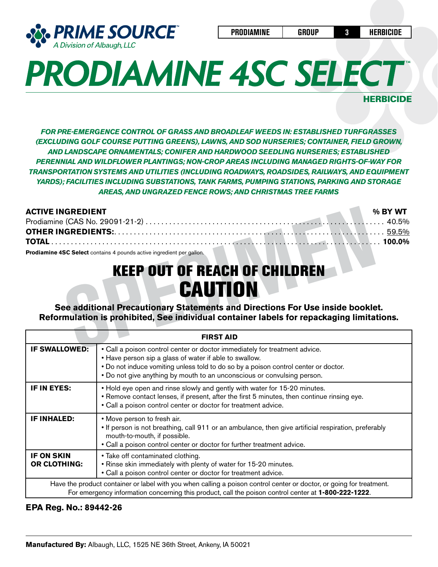

**HERBICIDE** 

*FOR PRE-EMERGENCE CONTROL OF GRASS AND BROADLEAF WEEDS IN: ESTABLISHED TURFGRASSES (EXCLUDING GOLF COURSE PUTTING GREENS), LAWNS, AND SOD NURSERIES; CONTAINER, FIELD GROWN, AND LANDSCAPE ORNAMENTALS; CONIFER AND HARDWOOD SEEDLING NURSERIES; ESTABLISHED PERENNIAL AND WILDFLOWER PLANTINGS; NON-CROP AREAS INCLUDING MANAGED RIGHTS-OF-WAY FOR TRANSPORTATION SYSTEMS AND UTILITIES (INCLUDING ROADWAYS, ROADSIDES, RAILWAYS, AND EQUIPMENT YARDS); FACILITIES INCLUDING SUBSTATIONS, TANK FARMS, PUMPING STATIONS, PARKING AND STORAGE AREAS, AND UNGRAZED FENCE ROWS; AND CHRISTMAS TREE FARMS* 

| <b>ACTIVE INGREDIENT</b>                                                                                                                                                                                                                                                                                               | % BY WT |
|------------------------------------------------------------------------------------------------------------------------------------------------------------------------------------------------------------------------------------------------------------------------------------------------------------------------|---------|
|                                                                                                                                                                                                                                                                                                                        | 40.5%   |
|                                                                                                                                                                                                                                                                                                                        |         |
|                                                                                                                                                                                                                                                                                                                        |         |
| <b>Prodiamine 4SC Select</b> contains 4 pounds active ingredient per gallon.<br><b>KEEP OUT OF REACH OF CHILDREN</b><br><b>ECAUTION</b><br>See additional Precautionary Statements and Directions For Use inside booklet.<br>Reformulation is prohibited, See individual container labels for repackaging limitations. |         |
|                                                                                                                                                                                                                                                                                                                        |         |
| <b>FIRST AID</b>                                                                                                                                                                                                                                                                                                       |         |
| IF SWALLOWED:<br>• Call a poison control center or doctor immediately for treatment advice                                                                                                                                                                                                                             |         |

## KEEP OUT OF REACH OF CHILDREN **CAUTION**

| <b>FIRST AID</b>                                                                                                                                                                                                             |                                                                                                                                                                                                                                                                                                        |  |  |  |
|------------------------------------------------------------------------------------------------------------------------------------------------------------------------------------------------------------------------------|--------------------------------------------------------------------------------------------------------------------------------------------------------------------------------------------------------------------------------------------------------------------------------------------------------|--|--|--|
| <b>IF SWALLOWED:</b>                                                                                                                                                                                                         | • Call a poison control center or doctor immediately for treatment advice.<br>• Have person sip a glass of water if able to swallow.<br>. Do not induce vomiting unless told to do so by a poison control center or doctor.<br>• Do not give anything by mouth to an unconscious or convulsing person. |  |  |  |
| IF IN EYES:                                                                                                                                                                                                                  | • Hold eye open and rinse slowly and gently with water for 15-20 minutes.<br>• Remove contact lenses, if present, after the first 5 minutes, then continue rinsing eye.<br>• Call a poison control center or doctor for treatment advice.                                                              |  |  |  |
| <b>IF INHALED:</b>                                                                                                                                                                                                           | • Move person to fresh air.<br>• If person is not breathing, call 911 or an ambulance, then give artificial respiration, preferably<br>mouth-to-mouth, if possible.<br>• Call a poison control center or doctor for further treatment advice.                                                          |  |  |  |
| <b>IF ON SKIN</b><br><b>OR CLOTHING:</b>                                                                                                                                                                                     | • Take off contaminated clothing.<br>. Rinse skin immediately with plenty of water for 15-20 minutes.<br>• Call a poison control center or doctor for treatment advice.                                                                                                                                |  |  |  |
| Have the product container or label with you when calling a poison control center or doctor, or going for treatment.<br>For emergency information concerning this product, call the poison control center at 1-800-222-1222. |                                                                                                                                                                                                                                                                                                        |  |  |  |

### **EPA Reg. No.: 89442-26**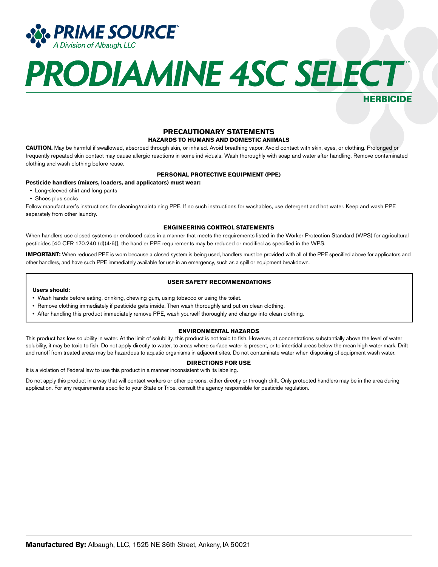

**HERBICIDE** 

### **PRECAUTIONARY STATEMENTS**

#### **HAZARDS TO HUMANS AND DOMESTIC ANIMALS**

**CAUTION.** May be harmful if swallowed, absorbed through skin, or inhaled. Avoid breathing vapor. Avoid contact with skin, eyes, or clothing. Prolonged or frequently repeated skin contact may cause allergic reactions in some individuals. Wash thoroughly with soap and water after handling. Remove contaminated clothing and wash clothing before reuse.

#### **PERSONAL PROTECTIVE EQUIPMENT (PPE)**

#### **Pesticide handlers (mixers, loaders, and applicators) must wear:**

- Long-sleeved shirt and long pants
- Shoes plus socks

Follow manufacturer's instructions for cleaning/maintaining PPE. If no such instructions for washables, use detergent and hot water. Keep and wash PPE separately from other laundry.

#### **ENGINEERING CONTROL STATEMENTS**

When handlers use closed systems or enclosed cabs in a manner that meets the requirements listed in the Worker Protection Standard (WPS) for agricultural pesticides [40 CFR 170.240 (d)(4-6)], the handler PPE requirements may be reduced or modified as specified in the WPS.

**IMPORTANT:** When reduced PPE is worn because a closed system is being used, handlers must be provided with all of the PPE specified above for applicators and other handlers, and have such PPE immediately available for use in an emergency, such as a spill or equipment breakdown.

**USER SAFETY RECOMMENDATIONS**

#### **Users should:**

- Wash hands before eating, drinking, chewing gum, using tobacco or using the toilet.
- Remove clothing immediately if pesticide gets inside. Then wash thoroughly and put on clean clothing.
- After handling this product immediately remove PPE, wash yourself thoroughly and change into clean clothing.

#### **ENVIRONMENTAL HAZARDS**

This product has low solubility in water. At the limit of solubility, this product is not toxic to fish. However, at concentrations substantially above the level of water solubility, it may be toxic to fish. Do not apply directly to water, to areas where surface water is present, or to intertidal areas below the mean high water mark. Drift and runoff from treated areas may be hazardous to aquatic organisms in adjacent sites. Do not contaminate water when disposing of equipment wash water.

#### **DIRECTIONS FOR USE**

It is a violation of Federal law to use this product in a manner inconsistent with its labeling.

Do not apply this product in a way that will contact workers or other persons, either directly or through drift. Only protected handlers may be in the area during application. For any requirements specific to your State or Tribe, consult the agency responsible for pesticide regulation.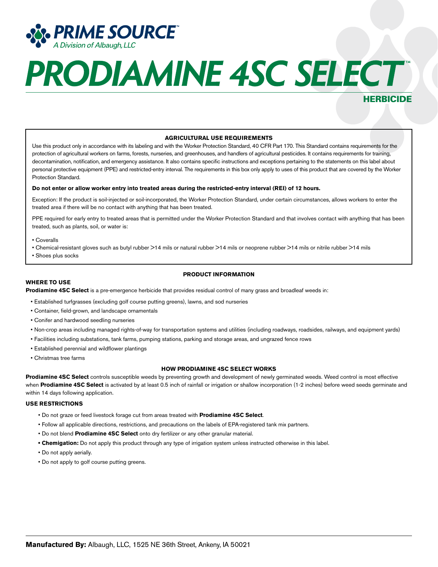

### HERBICIDE

#### **AGRICULTURAL USE REQUIREMENTS**

Use this product only in accordance with its labeling and with the Worker Protection Standard, 40 CFR Part 170. This Standard contains requirements for the protection of agricultural workers on farms, forests, nurseries, and greenhouses, and handlers of agricultural pesticides. It contains requirements for training, decontamination, notification, and emergency assistance. It also contains specific instructions and exceptions pertaining to the statements on this label about personal protective equipment (PPE) and restricted-entry interval. The requirements in this box only apply to uses of this product that are covered by the Worker Protection Standard.

#### **Do not enter or allow worker entry into treated areas during the restricted-entry interval (REI) of 12 hours.**

Exception: If the product is soil-injected or soil-incorporated, the Worker Protection Standard, under certain circumstances, allows workers to enter the treated area if there will be no contact with anything that has been treated.

PPE required for early entry to treated areas that is permitted under the Worker Protection Standard and that involves contact with anything that has been treated, such as plants, soil, or water is:

#### • Coveralls

- Chemical-resistant gloves such as butyl rubber >14 mils or natural rubber >14 mils or neoprene rubber >14 mils or nitrile rubber >14 mils
- Shoes plus socks

#### **PRODUCT INFORMATION**

#### **WHERE TO USE**

**Prodiamine 4SC Select** is a pre-emergence herbicide that provides residual control of many grass and broadleaf weeds in:

- Established turfgrasses (excluding golf course putting greens), lawns, and sod nurseries
- Container, field-grown, and landscape ornamentals
- Conifer and hardwood seedling nurseries
- Non-crop areas including managed rights-of-way for transportation systems and utilities (including roadways, roadsides, railways, and equipment yards)
- Facilities including substations, tank farms, pumping stations, parking and storage areas, and ungrazed fence rows
- Established perennial and wildflower plantings
- Christmas tree farms

#### **HOW PRODIAMINE 4SC SELECT WORKS**

**Prodiamine 4SC Select** controls susceptible weeds by preventing growth and development of newly germinated weeds. Weed control is most effective when **Prodiamine 4SC Select** is activated by at least 0.5 inch of rainfall or irrigation or shallow incorporation (1-2 inches) before weed seeds germinate and within 14 days following application.

#### **USE RESTRICTIONS**

- Do not graze or feed livestock forage cut from areas treated with **Prodiamine 4SC Select**.
- Follow all applicable directions, restrictions, and precautions on the labels of EPA-registered tank mix partners.
- Do not blend **Prodiamine 4SC Select** onto dry fertilizer or any other granular material.
- **• Chemigation:** Do not apply this product through any type of irrigation system unless instructed otherwise in this label.
- Do not apply aerially.
- Do not apply to golf course putting greens.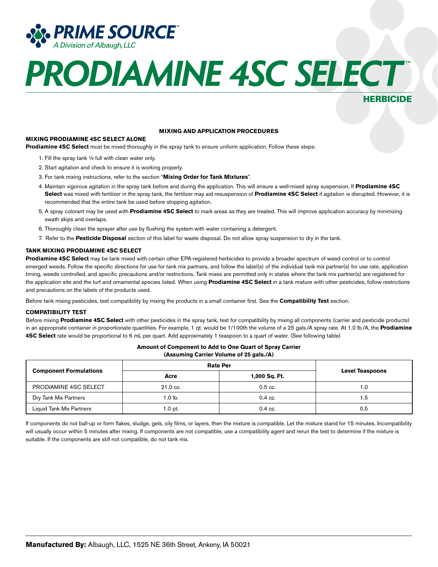

### **HERBICIDE**

#### **MIXING AND APPLICATION PROCEDURES**

#### **MIXING PRODIAMINE 4SC SELECT ALONE**

**Prodiamine 4SC Select** must be mixed thoroughly in the spray tank to ensure uniform application. Follow these steps:

- 1. Fill the spray tank ¼ full with clean water only.
- 2. Start agitation and check to ensure it is working properly.
- 3. For tank mixing instructions, refer to the section "**Mixing Order for Tank Mixtures**".
- 4. Maintain vigorous agitation in the spray tank before and during the application. This will ensure a well-mixed spray suspension. If **Prodiamine 4SC Select** was mixed with fertilizer in the spray tank, the fertilizer may aid resuspension of **Prodiamine 4SC Select** if agitation is disrupted. However, it is recommended that the entire tank be used before stopping agitation.
- 5. A spray colorant may be used with **Prodiamine 4SC Select** to mark areas as they are treated. This will improve application accuracy by minimizing swath skips and overlaps.
- 6. Thoroughly clean the sprayer after use by flushing the system with water containing a detergent.
- 7. Refer to the **Pesticide Disposal** section of this label for waste disposal. Do not allow spray suspension to dry in the tank.

#### **TANK MIXING PRODIAMINE 4SC SELECT**

**Prodiamine 4SC Select** may be tank mixed with certain other EPA-registered herbicides to provide a broader spectrum of weed control or to control emerged weeds. Follow the specific directions for use for tank mix partners, and follow the label(s) of the individual tank mix partner(s) for use rate, application timing, weeds controlled, and specific precautions and/or restrictions. Tank mixes are permitted only in states where the tank mix partner(s) are registered for the application site and the turf and ornamental species listed. When using **Prodiamine 4SC Select** in a tank mixture with other pesticides, follow restrictions and precautions on the labels of the products used.

Before tank mixing pesticides, test compatibility by mixing the products in a small container first. See the **Compatibility Test** section.

#### **COMPATIBILITY TEST**

Before mixing **Prodiamine 4SC Select** with other pesticides in the spray tank, test for compatibility by mixing all components (carrier and pesticide products) in an appropriate container in proportionate quantities. For example, 1 qt. would be 1/100th the volume of a 25 gals./A spray rate. At 1.0 lb./A, the **Prodiamine 4SC Select** rate would be proportional to 6 mL per quart. Add approximately 1 teaspoon to a quart of water. (See following table)

**Amount of Component to Add to One Quart of Spray Carrier** 

| (Assuming Carrier Volume of 25 gals./A)<br><b>Rate Per</b> |            |                            |     |  |  |
|------------------------------------------------------------|------------|----------------------------|-----|--|--|
| <b>Component Formulations</b>                              | Acre       | <b>Level Teaspoons</b>     |     |  |  |
| PRODIAMINE 4SC SELECT                                      | $21.0$ oz. | 1,000 Sq. Ft.<br>$0.5$ oz. | 1.0 |  |  |
| Dry Tank Mix Partners                                      | 1.0 lb.    | $0.4$ oz.                  | 1.5 |  |  |
| Liquid Tank Mix Partners                                   | $1.0$ pt.  | $0.4$ oz.                  | 0.5 |  |  |

#### If components do not ball-up or form flakes, sludge, gels, oily films, or layers, then the mixture is compatible. Let the mixture stand for 15 minutes. Incompatibility will usually occur within 5 minutes after mixing. If components are not compatible, use a compatibility agent and rerun the test to determine if the mixture is suitable. If the components are still not compatible, do not tank mix.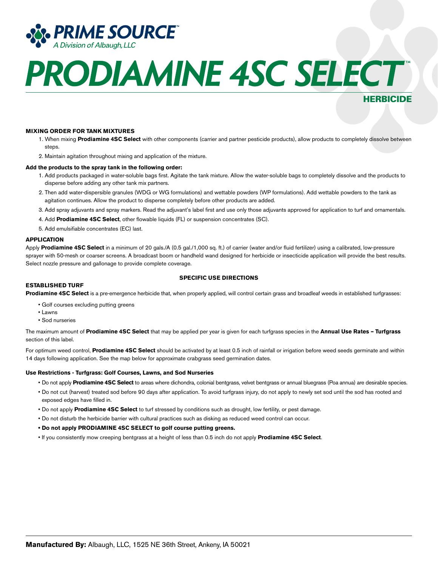

### HERBICIDE

#### **MIXING ORDER FOR TANK MIXTURES**

- 1. When mixing **Prodiamine 4SC Select** with other components (carrier and partner pesticide products), allow products to completely dissolve between steps.
- 2. Maintain agitation throughout mixing and application of the mixture.

#### **Add the products to the spray tank in the following order:**

- 1. Add products packaged in water-soluble bags first. Agitate the tank mixture. Allow the water-soluble bags to completely dissolve and the products to disperse before adding any other tank mix partners.
- 2. Then add water-dispersible granules (WDG or WG formulations) and wettable powders (WP formulations). Add wettable powders to the tank as agitation continues. Allow the product to disperse completely before other products are added.
- 3. Add spray adjuvants and spray markers. Read the adjuvant's label first and use only those adjuvants approved for application to turf and ornamentals.
- 4. Add **Prodiamine 4SC Select**, other flowable liquids (FL) or suspension concentrates (SC).
- 5. Add emulsifiable concentrates (EC) last.

#### **APPLICATION**

Apply **Prodiamine 4SC Select** in a minimum of 20 gals./A (0.5 gal./1,000 sq. ft.) of carrier (water and/or fluid fertilizer) using a calibrated, low-pressure sprayer with 50-mesh or coarser screens. A broadcast boom or handheld wand designed for herbicide or insecticide application will provide the best results. Select nozzle pressure and gallonage to provide complete coverage.

#### **SPECIFIC USE DIRECTIONS**

#### **ESTABLISHED TURF**

**Prodiamine 4SC Select** is a pre-emergence herbicide that, when properly applied, will control certain grass and broadleaf weeds in established turfgrasses:

- Golf courses excluding putting greens
- Lawns
- Sod nurseries

The maximum amount of **Prodiamine 4SC Select** that may be applied per year is given for each turfgrass species in the **Annual Use Rates – Turfgrass** section of this label.

For optimum weed control, **Prodiamine 4SC Select** should be activated by at least 0.5 inch of rainfall or irrigation before weed seeds germinate and within 14 days following application. See the map below for approximate crabgrass seed germination dates.

#### **Use Restrictions - Turfgrass: Golf Courses, Lawns, and Sod Nurseries**

- Do not apply **Prodiamine 4SC Select** to areas where dichondra, colonial bentgrass, velvet bentgrass or annual bluegrass (Poa annua) are desirable species.
- Do not cut (harvest) treated sod before 90 days after application. To avoid turfgrass injury, do not apply to newly set sod until the sod has rooted and exposed edges have filled in.
- Do not apply **Prodiamine 4SC Select** to turf stressed by conditions such as drought, low fertility, or pest damage.
- Do not disturb the herbicide barrier with cultural practices such as disking as reduced weed control can occur.
- **• Do not apply PRODIAMINE 4SC SELECT to golf course putting greens.**
- If you consistently mow creeping bentgrass at a height of less than 0.5 inch do not apply **Prodiamine 4SC Select**.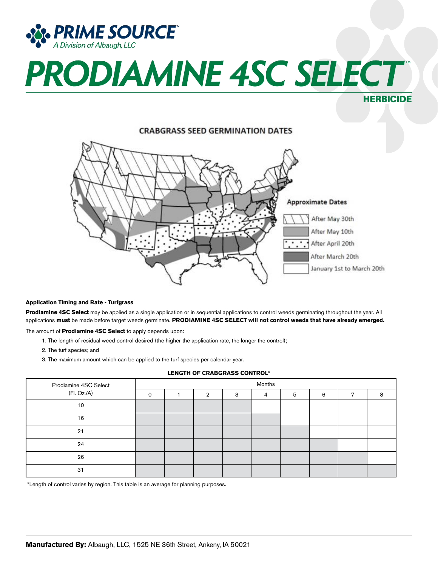

HERBICIDE

**CRABGRASS SEED GERMINATION DATES Approximate Dates** After May 30th After May 10th  $\sim$   $\sim$ After April 20th After March 20th January 1st to March 20th

#### **Application Timing and Rate - Turfgrass**

**Prodiamine 4SC Select** may be applied as a single application or in sequential applications to control weeds germinating throughout the year. All applications **must** be made before target weeds germinate. **PRODIAMINE 4SC SELECT will not control weeds that have already emerged.**

The amount of **Prodiamine 4SC Select** to apply depends upon:

- 1. The length of residual weed control desired (the higher the application rate, the longer the control);
- 2. The turf species; and
- 3. The maximum amount which can be applied to the turf species per calendar year.

#### **LENGTH OF CRABGRASS CONTROL\***

| Prodiamine 4SC Select | Months   |  |   |   |   |   |   |   |   |
|-----------------------|----------|--|---|---|---|---|---|---|---|
| (Fl. Oz./A)           | $\Omega$ |  | 2 | 3 | 4 | 5 | 6 | 7 | я |
| 10                    |          |  |   |   |   |   |   |   |   |
| 16                    |          |  |   |   |   |   |   |   |   |
| 21                    |          |  |   |   |   |   |   |   |   |
| 24                    |          |  |   |   |   |   |   |   |   |
| 26                    |          |  |   |   |   |   |   |   |   |
| 31                    |          |  |   |   |   |   |   |   |   |

\*Length of control varies by region. This table is an average for planning purposes.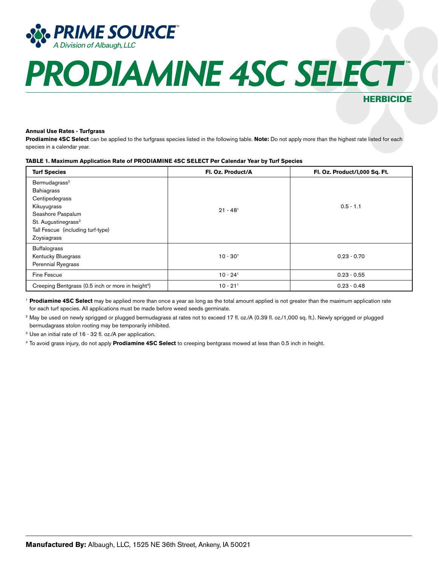

### HERBICIDE

#### **Annual Use Rates - Turfgrass**

**Prodiamine 4SC Select** can be applied to the turfgrass species listed in the following table. **Note:** Do not apply more than the highest rate listed for each species in a calendar year.

#### **TABLE 1. Maximum Application Rate of PRODIAMINE 4SC SELECT Per Calendar Year by Turf Species**

| <b>Turf Species</b>                                                                                                                                                                         | Fl. Oz. Product/A      | Fl. Oz. Product/I,000 Sq. Ft. |
|---------------------------------------------------------------------------------------------------------------------------------------------------------------------------------------------|------------------------|-------------------------------|
| Bermudagrass <sup>2</sup><br><b>Bahiagrass</b><br>Centipedegrass<br>Kikuyugrass<br>Seashore Paspalum<br>St. Augustinegrass <sup>3</sup><br>Tall Fescue (including turf-type)<br>Zoysiagrass | $21 - 48$ <sup>1</sup> | $0.5 - 1.1$                   |
| <b>Buffalograss</b><br>Kentucky Bluegrass<br>Perennial Ryegrass                                                                                                                             | $10 - 301$             | $0.23 - 0.70$                 |
| Fine Fescue                                                                                                                                                                                 | $10 - 24$ <sup>1</sup> | $0.23 - 0.55$                 |
| Creeping Bentgrass (0.5 inch or more in height <sup>4</sup> )                                                                                                                               | $10 - 21$ <sup>1</sup> | $0.23 - 0.48$                 |

<sup>1</sup>**Prodiamine 4SC Select** may be applied more than once a year as long as the total amount applied is not greater than the maximum application rate for each turf species. All applications must be made before weed seeds germinate.

<sup>2</sup> May be used on newly sprigged or plugged bermudagrass at rates not to exceed 17 fl. oz./A (0.39 fl. oz./1,000 sg. ft.). Newly sprigged or plugged bermudagrass stolon rooting may be temporarily inhibited.

<sup>3</sup> Use an initial rate of 16 - 32 fl. oz./A per application.

4 To avoid grass injury, do not apply **Prodiamine 4SC Select** to creeping bentgrass mowed at less than 0.5 inch in height.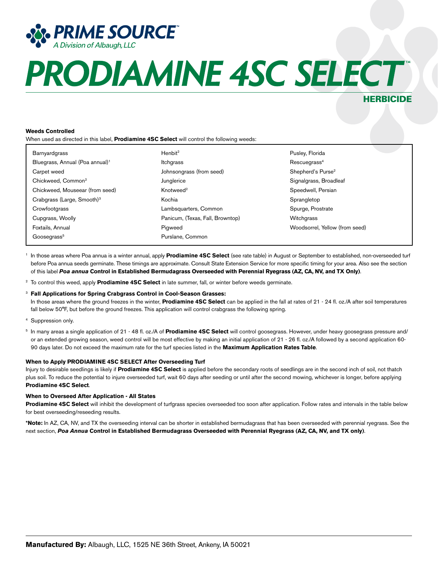

### **HERBICIDE**

#### **Weeds Controlled**

When used as directed in this label, **Prodiamine 4SC Select** will control the following weeds:

| <b>Barnyardgrass</b>                        | Henbit <sup>2</sup>              | Pusley, Florida                |
|---------------------------------------------|----------------------------------|--------------------------------|
| Bluegrass, Annual (Poa annual) <sup>1</sup> | Itchgrass                        | Rescuegrass <sup>4</sup>       |
| Carpet weed                                 | Johnsongrass (from seed)         | Shepherd's Purse <sup>2</sup>  |
| Chickweed, Common <sup>2</sup>              | Junglerice                       | Signalgrass, Broadleaf         |
| Chickweed, Mouseear (from seed)             | Knotweed <sup>2</sup>            | Speedwell, Persian             |
| Crabgrass (Large, Smooth) <sup>3</sup>      | Kochia                           | Sprangletop                    |
| Crowfootgrass                               | Lambsquarters, Common            | Spurge, Prostrate              |
| Cupgrass, Woolly                            | Panicum, (Texas, Fall, Browntop) | Witchgrass                     |
| Foxtails, Annual                            | Pigweed                          | Woodsorrel, Yellow (from seed) |
| Goosegrass <sup>5</sup>                     | Purslane, Common                 |                                |

<sup>1</sup> In those areas where Poa annua is a winter annual, apply **Prodiamine 4SC Select** (see rate table) in August or September to established, non-overseeded turf before Poa annua seeds germinate. These timings are approximate. Consult State Extension Service for more specific timing for your area. Also see the section of this label *Poa annua* **Control in Established Bermudagrass Overseeded with Perennial Ryegrass (AZ, CA, NV, and TX Only)**.

2 To control this weed, apply **Prodiamine 4SC Select** in late summer, fall, or winter before weeds germinate.

#### <sup>3</sup> **Fall Applications for Spring Crabgrass Control in Cool-Season Grasses:**

In those areas where the ground freezes in the winter, **Prodiamine 4SC Select** can be applied in the fall at rates of 21 - 24 fl. oz./A after soil temperatures fall below 50°F, but before the ground freezes. This application will control crabgrass the following spring.

- 4 Suppression only.
- <sup>5</sup> In many areas a single application of 21 48 fl. oz./A of **Prodiamine 4SC Select** will control goosegrass. However, under heavy goosegrass pressure and/ or an extended growing season, weed control will be most effective by making an initial application of 21 - 26 fl. oz./A followed by a second application 60- 90 days later. Do not exceed the maximum rate for the turf species listed in the **Maximum Application Rates Table**.

#### **When to Apply PRODIAMINE 4SC SELECT After Overseeding Turf**

Injury to desirable seedlings is likely if **Prodiamine 4SC Select** is applied before the secondary roots of seedlings are in the second inch of soil, not thatch plus soil. To reduce the potential to injure overseeded turf, wait 60 days after seeding or until after the second mowing, whichever is longer, before applying **Prodiamine 4SC Select**.

#### **When to Overseed After Application - All States**

**Prodiamine 4SC Select** will inhibit the development of turfgrass species overseeded too soon after application. Follow rates and intervals in the table below for best overseeding/reseeding results.

**\*Note:** In AZ, CA, NV, and TX the overseeding interval can be shorter in established bermudagrass that has been overseeded with perennial ryegrass. See the next section, *Poa Annua* **Control in Established Bermudagrass Overseeded with Perennial Ryegrass (AZ, CA, NV, and TX only)**.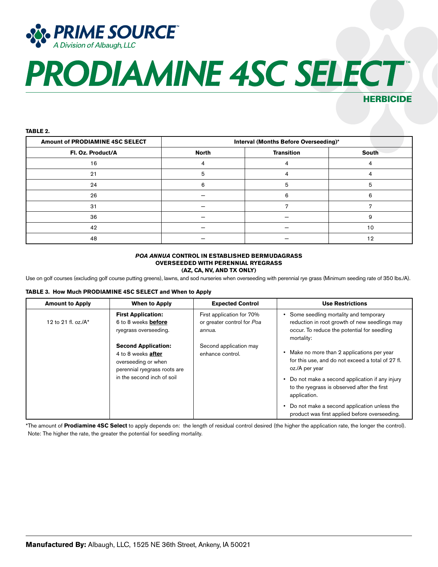

### HERBICIDE

#### **TABLE 2.**

| Amount of PRODIAMINE 4SC SELECT | Interval (Months Before Overseeding)* |                   |              |
|---------------------------------|---------------------------------------|-------------------|--------------|
| Fl. Oz. Product/A               | <b>North</b>                          | <b>Transition</b> | <b>South</b> |
| 16                              |                                       |                   |              |
| 21                              | 5                                     |                   |              |
| 24                              |                                       | 5                 |              |
| 26                              |                                       | ิค                | 6            |
| 31                              |                                       |                   |              |
| 36                              |                                       |                   |              |
| 42                              |                                       |                   | 10           |
| 48                              |                                       |                   | 1 ຕ          |

#### *POA ANNUA* **CONTROL IN ESTABLISHED BERMUDAGRASS OVERSEEDED WITH PERENNIAL RYEGRASS (AZ, CA, NV, AND TX ONLY)**

Use on golf courses (excluding golf course putting greens), lawns, and sod nurseries when overseeding with perennial rye grass (Minimum seeding rate of 350 lbs./A).

#### **TABLE 3. How Much PRODIAMINE 4SC SELECT and When to Apply**

| <b>Amount to Apply</b>  | <b>When to Apply</b>                                                                                           | <b>Expected Control</b>                                           | <b>Use Restrictions</b>                                                                                                                             |
|-------------------------|----------------------------------------------------------------------------------------------------------------|-------------------------------------------------------------------|-----------------------------------------------------------------------------------------------------------------------------------------------------|
| 12 to 21 fl. oz./ $A^*$ | <b>First Application:</b><br>6 to 8 weeks <b>before</b><br>ryegrass overseeding.                               | First application for 70%<br>or greater control for Poa<br>annua. | Some seedling mortality and temporary<br>reduction in root growth of new seedlings may<br>occur. To reduce the potential for seedling<br>mortality: |
|                         | <b>Second Application:</b><br>4 to 8 weeks <b>after</b><br>overseeding or when<br>perennial ryegrass roots are | Second application may<br>enhance control.                        | Make no more than 2 applications per year<br>for this use, and do not exceed a total of 27 fl.<br>oz./A per year                                    |
|                         | in the second inch of soil                                                                                     |                                                                   | Do not make a second application if any injury<br>to the ryegrass is observed after the first<br>application.                                       |
|                         |                                                                                                                |                                                                   | Do not make a second application unless the<br>product was first applied before overseeding.                                                        |

\*The amount of **Prodiamine 4SC Select** to apply depends on: the length of residual control desired (the higher the application rate, the longer the control). Note: The higher the rate, the greater the potential for seedling mortality.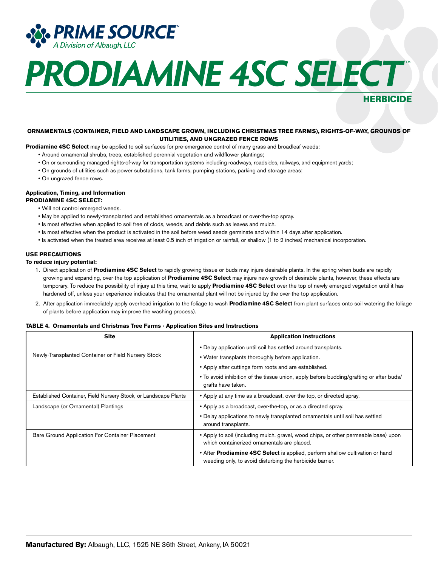

### HERBICIDE

#### **ORNAMENTALS (CONTAINER, FIELD AND LANDSCAPE GROWN, INCLUDING CHRISTMAS TREE FARMS), RIGHTS-OF-WAY, GROUNDS OF UTILITIES, AND UNGRAZED FENCE ROWS**

**Prodiamine 4SC Select** may be applied to soil surfaces for pre-emergence control of many grass and broadleaf weeds:

- Around ornamental shrubs, trees, established perennial vegetation and wildflower plantings;
- On or surrounding managed rights-of-way for transportation systems including roadways, roadsides, railways, and equipment yards;
- On grounds of utilities such as power substations, tank farms, pumping stations, parking and storage areas;
- On ungrazed fence rows.

#### **Application, Timing, and Information**

**PRODIAMINE 4SC SELECT:**

- Will not control emerged weeds.
- May be applied to newly-transplanted and established ornamentals as a broadcast or over-the-top spray.
- Is most effective when applied to soil free of clods, weeds, and debris such as leaves and mulch.
- Is most effective when the product is activated in the soil before weed seeds germinate and within 14 days after application.
- Is activated when the treated area receives at least 0.5 inch of irrigation or rainfall, or shallow (1 to 2 inches) mechanical incorporation.

#### **USE PRECAUTIONS**

#### **To reduce injury potential:**

- 1. Direct application of **Prodiamine 4SC Select** to rapidly growing tissue or buds may injure desirable plants. In the spring when buds are rapidly growing and expanding, over-the-top application of **Prodiamine 4SC Select** may injure new growth of desirable plants, however, these effects are temporary. To reduce the possibility of injury at this time, wait to apply **Prodiamine 4SC Select** over the top of newly emerged vegetation until it has hardened off, unless your experience indicates that the ornamental plant will not be injured by the over-the-top application.
- 2. After application immediately apply overhead irrigation to the foliage to wash **Prodiamine 4SC Select** from plant surfaces onto soil watering the foliage of plants before application may improve the washing process).

#### **TABLE 4. Ornamentals and Christmas Tree Farms - Application Sites and Instructions**

| <b>Site</b>                                                     | <b>Application Instructions</b>                                                                                                           |
|-----------------------------------------------------------------|-------------------------------------------------------------------------------------------------------------------------------------------|
|                                                                 | • Delay application until soil has settled around transplants.                                                                            |
| Newly-Transplanted Container or Field Nursery Stock             | • Water transplants thoroughly before application.                                                                                        |
|                                                                 | • Apply after cuttings form roots and are established.                                                                                    |
|                                                                 | • To avoid inhibition of the tissue union, apply before budding/grafting or after buds/<br>grafts have taken.                             |
| Established Container, Field Nursery Stock, or Landscape Plants | • Apply at any time as a broadcast, over-the-top, or directed spray.                                                                      |
| Landscape (or Ornamental) Plantings                             | • Apply as a broadcast, over-the-top, or as a directed spray.                                                                             |
|                                                                 | • Delay applications to newly transplanted ornamentals until soil has settled<br>around transplants.                                      |
| Bare Ground Application For Container Placement                 | • Apply to soil (including mulch, gravel, wood chips, or other permeable base) upon<br>which containerized ornamentals are placed.        |
|                                                                 | • After Prodiamine 4SC Select is applied, perform shallow cultivation or hand<br>weeding only, to avoid disturbing the herbicide barrier. |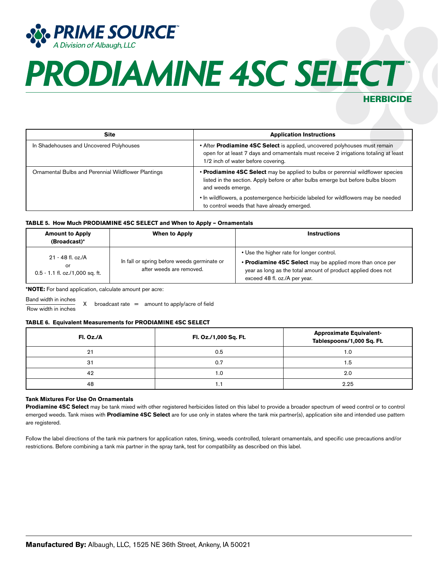

### HERBICIDE

| <b>Site</b>                                         | <b>Application Instructions</b>                                                                                                                                                                           |  |
|-----------------------------------------------------|-----------------------------------------------------------------------------------------------------------------------------------------------------------------------------------------------------------|--|
| In Shadehouses and Uncovered Polyhouses             | • After Prodiamine 4SC Select is applied, uncovered polyhouses must remain<br>open for at least 7 days and ornamentals must receive 2 irrigations totaling at least<br>1/2 inch of water before covering. |  |
| Ornamental Bulbs and Perennial Wildflower Plantings | • Prodiamine 4SC Select may be applied to bulbs or perennial wildflower species<br>listed in the section. Apply before or after bulbs emerge but before bulbs bloom<br>and weeds emerge.                  |  |
|                                                     | • In wildflowers, a postemergence herbicide labeled for wildflowers may be needed<br>to control weeds that have already emerged.                                                                          |  |

#### **TABLE 5. How Much PRODIAMINE 4SC SELECT and When to Apply – Ornamentals**

| <b>Amount to Apply</b><br>(Broadcast)*                       | <b>When to Apply</b>                                                    | <b>Instructions</b>                                                                                                                                                                                     |
|--------------------------------------------------------------|-------------------------------------------------------------------------|---------------------------------------------------------------------------------------------------------------------------------------------------------------------------------------------------------|
| 21 - 48 fl. oz./A<br>or<br>$0.5 - 1.1$ fl. oz./1,000 sq. ft. | In fall or spring before weeds germinate or<br>after weeds are removed. | • Use the higher rate for longer control.<br>• Prodiamine 4SC Select may be applied more than once per<br>year as long as the total amount of product applied does not<br>exceed 48 fl. oz./A per year. |

**\*NOTE:** For band application, calculate amount per acre:

Band width in inches

 $\frac{20.08 \text{ rad} + 10.080}{1000 \text{ rad}}$  X broadcast rate = amount to apply/acre of field

#### **TABLE 6. Equivalent Measurements for PRODIAMINE 4SC SELECT**

| Fl. Oz./A | Fl. Oz./1,000 Sq. Ft. | <b>Approximate Equivalent-</b><br>Tablespoons/1,000 Sq. Ft. |
|-----------|-----------------------|-------------------------------------------------------------|
| 21        | 0.5                   | 1.C                                                         |
| 31        | 0.7                   | 1.5                                                         |
| 42        | 0. ا                  | 2.0                                                         |
| 48        |                       | 2.25                                                        |

#### **Tank Mixtures For Use On Ornamentals**

**Prodiamine 4SC Select** may be tank mixed with other registered herbicides listed on this label to provide a broader spectrum of weed control or to control emerged weeds. Tank mixes with **Prodiamine 4SC Select** are for use only in states where the tank mix partner(s), application site and intended use pattern are registered.

Follow the label directions of the tank mix partners for application rates, timing, weeds controlled, tolerant ornamentals, and specific use precautions and/or restrictions. Before combining a tank mix partner in the spray tank, test for compatibility as described on this label.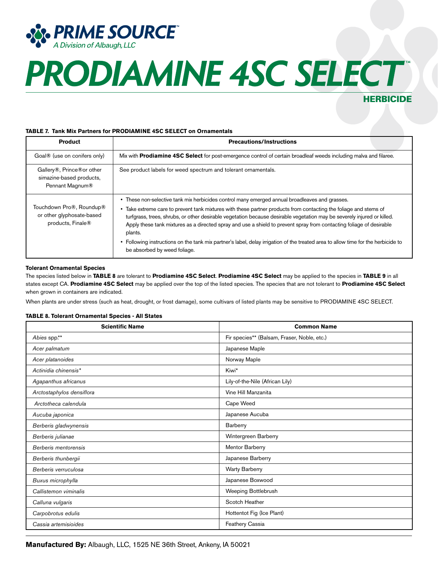

### HERBICIDE

#### **TABLE 7. Tank Mix Partners for PRODIAMINE 4SC SELECT on Ornamentals**

| <b>Product</b>                                                             | <b>Precautions/Instructions</b>                                                                                                                                                                                                                                                                                                                                                                                                                                                                                                                                                                                                                        |
|----------------------------------------------------------------------------|--------------------------------------------------------------------------------------------------------------------------------------------------------------------------------------------------------------------------------------------------------------------------------------------------------------------------------------------------------------------------------------------------------------------------------------------------------------------------------------------------------------------------------------------------------------------------------------------------------------------------------------------------------|
| Goal® (use on conifers only)                                               | Mix with <b>Prodiamine 4SC Select</b> for post-emergence control of certain broadleaf weeds including malva and filaree.                                                                                                                                                                                                                                                                                                                                                                                                                                                                                                                               |
| Gallery®, Prince®or other<br>simazine-based products,<br>Pennant Magnum®   | See product labels for weed spectrum and tolerant ornamentals.                                                                                                                                                                                                                                                                                                                                                                                                                                                                                                                                                                                         |
| Touchdown Pro®, Roundup®<br>or other glyphosate-based<br>products, Finale® | • These non-selective tank mix herbicides control many emerged annual broadleaves and grasses.<br>• Take extreme care to prevent tank mixtures with these partner products from contacting the foliage and stems of<br>turfgrass, trees, shrubs, or other desirable vegetation because desirable vegetation may be severely injured or killed.<br>Apply these tank mixtures as a directed spray and use a shield to prevent spray from contacting foliage of desirable<br>plants.<br>• Following instructions on the tank mix partner's label, delay irrigation of the treated area to allow time for the herbicide to<br>be absorbed by weed foliage. |

#### **Tolerant Ornamental Species**

The species listed below in **TABLE 8** are tolerant to **Prodiamine 4SC Select**. **Prodiamine 4SC Select** may be applied to the species in **TABLE 9** in all states except CA. **Prodiamine 4SC Select** may be applied over the top of the listed species. The species that are not tolerant to **Prodiamine 4SC Select** when grown in containers are indicated.

When plants are under stress (such as heat, drought, or frost damage), some cultivars of listed plants may be sensitive to PRODIAMINE 4SC SELECT.

#### **TABLE 8. Tolerant Ornamental Species - All States**

| <b>Scientific Name</b>    | <b>Common Name</b>                          |
|---------------------------|---------------------------------------------|
| Abies spp.**              | Fir species** (Balsam, Fraser, Noble, etc.) |
| Acer palmatum             | Japanese Maple                              |
| Acer platanoides          | Norway Maple                                |
| Actinidia chinensis*      | Kiwi*                                       |
| Agapanthus africanus      | Lily-of-the-Nile (African Lily)             |
| Arctostaphylos densiflora | Vine Hill Manzanita                         |
| Arctotheca calendula      | Cape Weed                                   |
| Aucuba japonica           | Japanese Aucuba                             |
| Berberis gladwynensis     | Barberry                                    |
| Berberis julianae         | Wintergreen Barberry                        |
| Berberis mentorensis      | Mentor Barberry                             |
| Berberis thunbergii       | Japanese Barberry                           |
| Berberis verruculosa      | <b>Warty Barberry</b>                       |
| Buxus microphylla         | Japanese Boxwood                            |
| Callistemon viminalis     | Weeping Bottlebrush                         |
| Calluna vulgaris          | Scotch Heather                              |
| Carpobrotus edulis        | Hottentot Fig (Ice Plant)                   |
| Cassia artemisioides      | Feathery Cassia                             |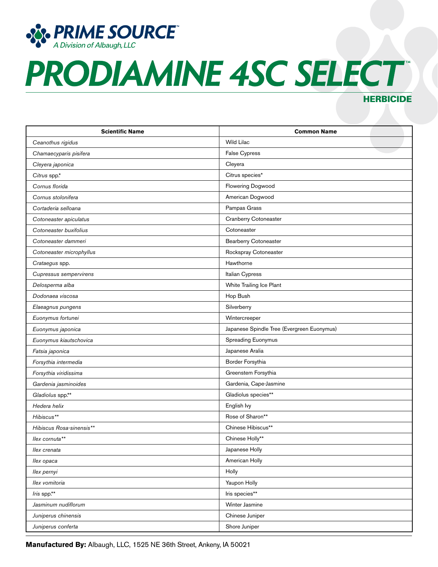

### **HERBICIDE**

| <b>Scientific Name</b>   | <b>Common Name</b>                         |
|--------------------------|--------------------------------------------|
| Ceanothus rigidus        | Wild Lilac                                 |
| Chamaecyparis pisifera   | False Cypress                              |
| Cleyera japonica         | Cleyera                                    |
| Citrus spp.*             | Citrus species*                            |
| Cornus florida           | Flowering Dogwood                          |
| Cornus stolonifera       | American Dogwood                           |
| Cortaderia selloana      | Pampas Grass                               |
| Cotoneaster apiculatus   | Cranberry Cotoneaster                      |
| Cotoneaster buxifolius   | Cotoneaster                                |
| Cotoneaster dammeri      | <b>Bearberry Cotoneaster</b>               |
| Cotoneaster microphyllus | Rockspray Cotoneaster                      |
| Crataegus spp.           | Hawthorne                                  |
| Cupressus sempervirens   | Italian Cypress                            |
| Delosperma alba          | White Trailing Ice Plant                   |
| Dodonaea viscosa         | Hop Bush                                   |
| Elaeagnus pungens        | Silverberry                                |
| Euonymus fortunei        | Wintercreeper                              |
| Euonymus japonica        | Japanese Spindle Tree (Evergreen Euonymus) |
| Euonymus kiautschovica   | Spreading Euonymus                         |
| Fatsia japonica          | Japanese Aralia                            |
| Forsythia intermedia     | Border Forsythia                           |
| Forsythia viridissima    | Greenstem Forsythia                        |
| Gardenia jasminoides     | Gardenia, Cape-Jasmine                     |
| Gladiolus spp.**         | Gladiolus species**                        |
| Hedera helix             | English Ivy                                |
| Hibiscus**               | Rose of Sharon**                           |
| Hibiscus Rosa-sinensis** | Chinese Hibiscus**                         |
| llex cornuta**           | Chinese Holly**                            |
| llex crenata             | Japanese Holly                             |
| llex opaca               | American Holly                             |
| Ilex pernyi              | Holly                                      |
| Ilex vomitoria           | Yaupon Holly                               |
| Iris spp.**              | Iris species**                             |
| Jasminum nudiflorum      | Winter Jasmine                             |
| Juniperus chinensis      | Chinese Juniper                            |
| Juniperus conferta       | Shore Juniper                              |

**Manufactured By:** Albaugh, LLC, 1525 NE 36th Street, Ankeny, IA 50021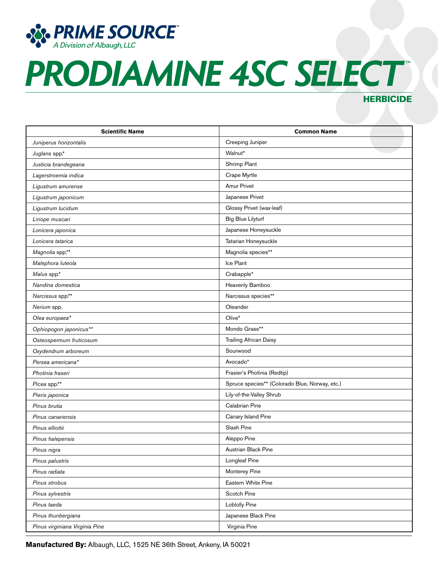

### **HERBICIDE**

| <b>Scientific Name</b>         | <b>Common Name</b>                             |
|--------------------------------|------------------------------------------------|
| Juniperus horizontalis         | Creeping Juniper                               |
| Juglans spp.*                  | Walnut*                                        |
| Justicia brandegeana           | Shrimp Plant                                   |
| Lagerstroemia indica           | Crape Myrtle                                   |
| Ligustrum amurense             | <b>Amur Privet</b>                             |
| Ligustrum japonicum            | Japanese Privet                                |
| Ligustrum lucidum              | Glossy Privet (wax-leaf)                       |
| Liriope muscari                | <b>Big Blue Lilyturf</b>                       |
| Lonicera japonica              | Japanese Honeysuckle                           |
| Lonicera tatarica              | Tatarian Honeysuckle                           |
| Magnolia spp.**                | Magnolia species**                             |
| Malephora luteola              | Ice Plant                                      |
| Malus spp.*                    | Crabapple*                                     |
| Nandina domestica              | Heavenly Bamboo                                |
| Narcissus spp.**               | Narcissus species**                            |
| Nerium spp.                    | Oleander                                       |
| Olea europaea*                 | Olive*                                         |
| Ophiopogon japonicus**         | Mondo Grass**                                  |
| Osteospermum fruticosum        | <b>Trailing African Daisy</b>                  |
| Oxydendrum arboreum            | Sourwood                                       |
| Persea americana*              | Avocado*                                       |
| Photinia fraseri               | Frasier's Photinia (Redtip)                    |
| Picea spp.**                   | Spruce species** (Colorado Blue, Norway, etc.) |
| Pieris japonica                | Lily-of-the-Valley Shrub                       |
| Pinus brutia                   | Calabrian Pine                                 |
| Pinus canariensis              | Canary Island Pine                             |
| Pinus elliottii                | Slash Pine                                     |
| Pinus halepensis               | Aleppo Pine                                    |
| Pinus nigra                    | Austrian Black Pine                            |
| Pinus palustris                | Longleaf Pine                                  |
| Pinus radiata                  | Monterey Pine                                  |
| Pinus strobus                  | Eastern White Pine                             |
| Pinus sylvestris               | Scotch Pine                                    |
| Pinus taeda                    | <b>Loblolly Pine</b>                           |
| Pinus thunbergiana             | Japanese Black Pine                            |
| Pinus virginiana Virginia Pine | Virginia Pine                                  |

**Manufactured By:** Albaugh, LLC, 1525 NE 36th Street, Ankeny, IA 50021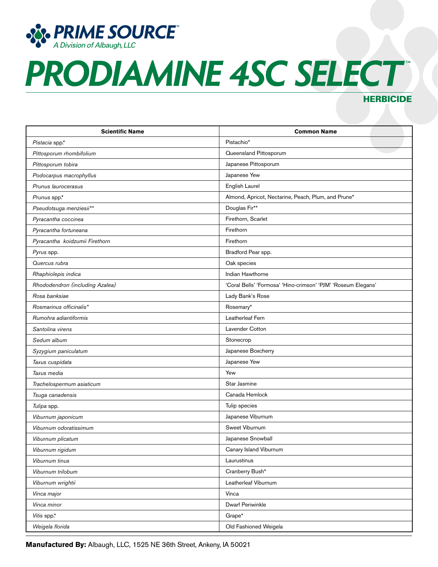

### **HERBICIDE**

| <b>Scientific Name</b>          | <b>Common Name</b>                                            |
|---------------------------------|---------------------------------------------------------------|
| Pistacia spp.*                  | Pistachio*                                                    |
| Pittosporum rhombifolium        | Queensland Pittosporum                                        |
| Pittosporum tobira              | Japanese Pittosporum                                          |
| Podocarpus macrophyllus         | Japanese Yew                                                  |
| Prunus laurocerasus             | English Laurel                                                |
| Prunus spp.*                    | Almond, Apricot, Nectarine, Peach, Plum, and Prune*           |
| Pseudotsuga menziesii**         | Douglas Fir**                                                 |
| Pyracantha coccinea             | Firethorn, Scarlet                                            |
| Pyracantha fortuneana           | Firethorn                                                     |
| Pyracantha koidzumii Firethorn  | Firethorn                                                     |
| Pyrus spp.                      | Bradford Pear spp.                                            |
| Quercus rubra                   | Oak species                                                   |
| Rhaphiolepis indica             | Indian Hawthorne                                              |
| Rhododendron (including Azalea) | 'Coral Bells' 'Formosa' 'Hino-crimson' 'PJM' 'Roseum Elegans' |
| Rosa banksiae                   | Lady Bank's Rose                                              |
| Rosmarinus officinalis*         | Rosemary*                                                     |
| Rumohra adiantiformis           | Leatherleaf Fern                                              |
| Santolina virens                | <b>Lavender Cotton</b>                                        |
| Sedum album                     | Stonecrop                                                     |
| Syzygium paniculatum            | Japanese Boxcherry                                            |
| Taxus cuspidata                 | Japanese Yew                                                  |
| Taxus media                     | Yew                                                           |
| Trachelospermum asiaticum       | Star Jasmine                                                  |
| Tsuga canadensis                | Canada Hemlock                                                |
| Tulipa spp.                     | Tulip species                                                 |
| Viburnum japonicum              | Japanese Viburnum                                             |
| Viburnum odoratissimum          | Sweet Viburnum                                                |
| Viburnum plicatum               | Japanese Snowball                                             |
| Viburnum rigidum                | Canary Island Viburnum                                        |
| Viburnum tinus                  | Laurustinus                                                   |
| Viburnum trilobum               | Cranberry Bush*                                               |
| Viburnum wrightii               | Leatherleaf Viburnum                                          |
| Vinca major                     | Vinca                                                         |
| Vinca minor                     | <b>Dwarf Periwinkle</b>                                       |
| Vitis spp.*                     | Grape*                                                        |
| Weigela florida                 | Old Fashioned Weigela                                         |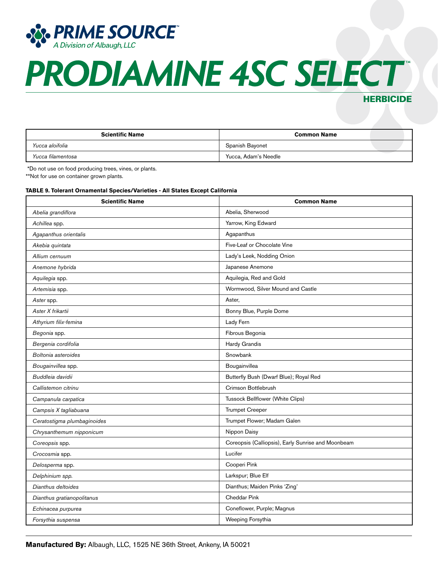

### HERBICIDE

| <b>Scientific Name</b> | <b>Common Name</b>   |
|------------------------|----------------------|
| Yucca aloifolia        | Spanish Bayonet      |
| Yucca filamentosa      | Yucca, Adam's Needle |

\*Do not use on food producing trees, vines, or plants.

\*\*Not for use on container grown plants.

#### **TABLE 9. Tolerant Ornamental Species/Varieties - All States Except California**

| <b>Scientific Name</b>      | <b>Common Name</b>                                 |
|-----------------------------|----------------------------------------------------|
| Abelia grandiflora          | Abelia, Sherwood                                   |
| Achillea spp.               | Yarrow, King Edward                                |
| Agapanthus orientalis       | Agapanthus                                         |
| Akebia quintata             | Five-Leaf or Chocolate Vine                        |
| Allium cernuum              | Lady's Leek, Nodding Onion                         |
| Anemone hybrida             | Japanese Anemone                                   |
| Aquilegia spp.              | Aquilegia, Red and Gold                            |
| Artemisia spp.              | Wormwood, Silver Mound and Castle                  |
| Aster spp.                  | Aster,                                             |
| Aster X frikartii           | Bonny Blue, Purple Dome                            |
| Athyrium filix-femina       | Lady Fern                                          |
| Begonia spp.                | Fibrous Begonia                                    |
| Bergenia cordifolia         | Hardy Grandis                                      |
| Boltonia asteroides         | Snowbank                                           |
| Bougainvillea spp.          | Bougainvillea                                      |
| Buddleia davidii            | Butterfly Bush (Dwarf Blue); Royal Red             |
| Callistemon citrinu         | Crimson Bottlebrush                                |
| Campanula carpatica         | Tussock Bellflower (White Clips)                   |
| Campsis X tagliabuana       | <b>Trumpet Creeper</b>                             |
| Ceratostigma plumbaginoides | Trumpet Flower; Madam Galen                        |
| Chrysanthemum nipponicum    | Nippon Daisy                                       |
| Coreopsis spp.              | Coreopsis (Calliopsis), Early Sunrise and Moonbeam |
| Crocosmia spp.              | Lucifer                                            |
| Delosperma spp.             | Cooperi Pink                                       |
| Delphinium spp.             | Larkspur; Blue Elf                                 |
| Dianthus deltoides          | Dianthus; Maiden Pinks 'Zing'                      |
| Dianthus gratianopolitanus  | <b>Cheddar Pink</b>                                |
| Echinacea purpurea          | Coneflower, Purple; Magnus                         |
| Forsythia suspensa          | Weeping Forsythia                                  |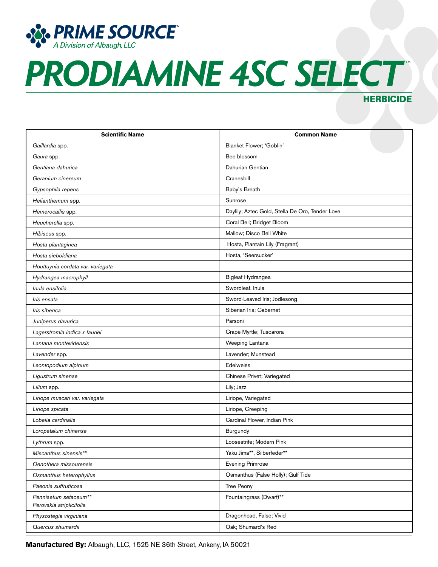

### **HERBICIDE**

| <b>Scientific Name</b>                            | <b>Common Name</b>                              |
|---------------------------------------------------|-------------------------------------------------|
| Gaillardia spp.                                   | Blanket Flower; 'Goblin'                        |
| Gaura spp.                                        | Bee blossom                                     |
| Gentiana dahurica                                 | Dahurian Gentian                                |
| Geranium cinereum                                 | Cranesbill                                      |
| Gypsophila repens                                 | Baby's Breath                                   |
| Helianthemum spp.                                 | Sunrose                                         |
| Hemerocallis spp.                                 | Daylily; Aztec Gold, Stella De Oro, Tender Love |
| Heucherella spp.                                  | Coral Bell; Bridget Bloom                       |
| Hibiscus spp.                                     | Mallow; Disco Bell White                        |
| Hosta plantaginea                                 | Hosta, Plantain Lily (Fragrant)                 |
| Hosta sieboldiana                                 | Hosta, 'Seersucker'                             |
| Houttuynia cordata var. variegata                 |                                                 |
| Hydrangea macrophyll                              | Bigleaf Hydrangea                               |
| Inula ensifolia                                   | Swordleaf, Inula                                |
| Iris ensata                                       | Sword-Leaved Iris; Jodlesong                    |
| Iris siberica                                     | Siberian Iris; Cabernet                         |
| Juniperus davurica                                | Parsoni                                         |
| Lagerstromia indica x fauriei                     | Crape Myrtle; Tuscarora                         |
| Lantana montevidensis                             | Weeping Lantana                                 |
| Lavender spp.                                     | Lavender; Munstead                              |
| Leontopodium alpinum                              | <b>Edelweiss</b>                                |
| Ligustrum sinense                                 | Chinese Privet; Variegated                      |
| Lilium spp.                                       | Lily; Jazz                                      |
| Liriope muscari var. variegata                    | Liriope, Variegated                             |
| Liriope spicata                                   | Liriope, Creeping                               |
| Lobelia cardinalis                                | Cardinal Flower, Indian Pink                    |
| Loropetalum chinense                              | Burgundy                                        |
| Lythrum spp.                                      | Loosestrife; Modern Pink                        |
| Miscanthus sinensis**                             | Yaku Jima**, Silberfeder**                      |
| Oenothera missourensis                            | <b>Evening Primrose</b>                         |
| Osmanthus heterophyllus                           | Osmanthus (False Holly); Gulf Tide              |
| Paeonia suffruticosa                              | Tree Peony                                      |
| Pennisetum setaceum**<br>Perovskia atriplicifolia | Fountaingrass (Dwarf)**                         |
| Physostegia virginiana                            | Dragonhead, False; Vivid                        |
| Quercus shumardii                                 | Oak; Shumard's Red                              |

**Manufactured By:** Albaugh, LLC, 1525 NE 36th Street, Ankeny, IA 50021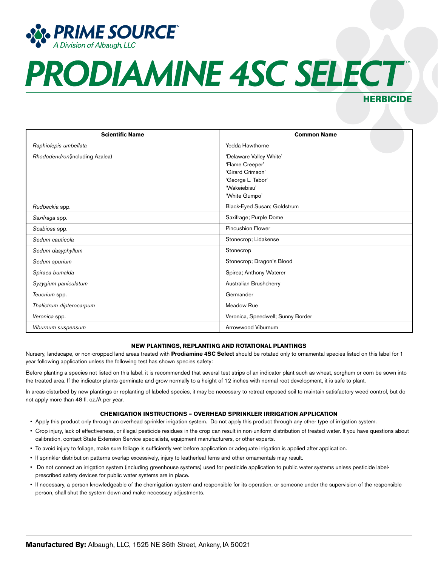

### HERBICIDE

| <b>Scientific Name</b>         | <b>Common Name</b>                                                                                                   |
|--------------------------------|----------------------------------------------------------------------------------------------------------------------|
| Raphiolepis umbellata          | Yedda Hawthorne                                                                                                      |
| Rhododendron(including Azalea) | 'Delaware Valley White'<br>'Flame Creeper'<br>'Girard Crimson'<br>'George L. Tabor'<br>'Wakeiebisu'<br>'White Gumpo' |
| Rudbeckia spp.                 | Black-Eyed Susan; Goldstrum                                                                                          |
| Saxifraga spp.                 | Saxifrage; Purple Dome                                                                                               |
| Scabiosa spp.                  | <b>Pincushion Flower</b>                                                                                             |
| Sedum cauticola                | Stonecrop; Lidakense                                                                                                 |
| Sedum dasyphyllum              | Stonecrop                                                                                                            |
| Sedum spurium                  | Stonecrop; Dragon's Blood                                                                                            |
| Spiraea bumalda                | Spirea; Anthony Waterer                                                                                              |
| Syzygium paniculatum           | Australian Brushcherry                                                                                               |
| Teucrium spp.                  | Germander                                                                                                            |
| Thalictrum dipterocarpum       | Meadow Rue                                                                                                           |
| Veronica spp.                  | Veronica, Speedwell; Sunny Border                                                                                    |
| Viburnum suspensum             | Arrowwood Viburnum                                                                                                   |

#### **NEW PLANTINGS, REPLANTING AND ROTATIONAL PLANTINGS**

Nursery, landscape, or non-cropped land areas treated with **Prodiamine 4SC Select** should be rotated only to ornamental species listed on this label for 1 year following application unless the following test has shown species safety:

Before planting a species not listed on this label, it is recommended that several test strips of an indicator plant such as wheat, sorghum or corn be sown into the treated area. If the indicator plants germinate and grow normally to a height of 12 inches with normal root development, it is safe to plant.

In areas disturbed by new plantings or replanting of labeled species, it may be necessary to retreat exposed soil to maintain satisfactory weed control, but do not apply more than 48 fl. oz./A per year.

#### **CHEMIGATION INSTRUCTIONS – OVERHEAD SPRINKLER IRRIGATION APPLICATION**

- Apply this product only through an overhead sprinkler irrigation system. Do not apply this product through any other type of irrigation system.
- Crop injury, lack of effectiveness, or illegal pesticide residues in the crop can result in non-uniform distribution of treated water. If you have questions about calibration, contact State Extension Service specialists, equipment manufacturers, or other experts.
- To avoid injury to foliage, make sure foliage is sufficiently wet before application or adequate irrigation is applied after application.
- If sprinkler distribution patterns overlap excessively, injury to leatherleaf ferns and other ornamentals may result.
- Do not connect an irrigation system (including greenhouse systems) used for pesticide application to public water systems unless pesticide labelprescribed safety devices for public water systems are in place.
- If necessary, a person knowledgeable of the chemigation system and responsible for its operation, or someone under the supervision of the responsible person, shall shut the system down and make necessary adjustments.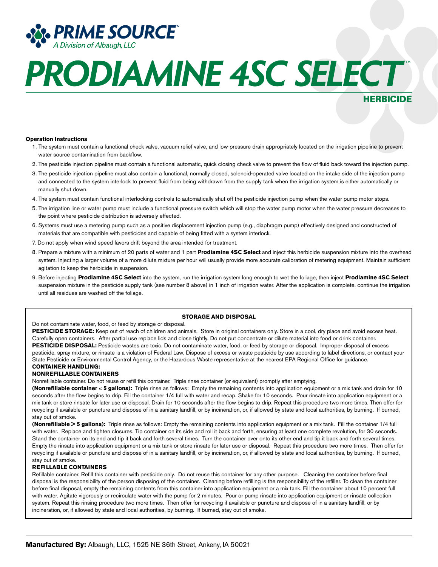

### HERBICIDE

#### **Operation Instructions**

- 1. The system must contain a functional check valve, vacuum relief valve, and low-pressure drain appropriately located on the irrigation pipeline to prevent water source contamination from backflow.
- 2. The pesticide injection pipeline must contain a functional automatic, quick closing check valve to prevent the flow of fluid back toward the injection pump.
- 3. The pesticide injection pipeline must also contain a functional, normally closed, solenoid-operated valve located on the intake side of the injection pump and connected to the system interlock to prevent fluid from being withdrawn from the supply tank when the irrigation system is either automatically or manually shut down.
- 4. The system must contain functional interlocking controls to automatically shut off the pesticide injection pump when the water pump motor stops.
- 5. The irrigation line or water pump must include a functional pressure switch which will stop the water pump motor when the water pressure decreases to the point where pesticide distribution is adversely effected.
- 6. Systems must use a metering pump such as a positive displacement injection pump (e.g., diaphragm pump) effectively designed and constructed of materials that are compatible with pesticides and capable of being fitted with a system interlock.
- 7. Do not apply when wind speed favors drift beyond the area intended for treatment.
- 8. Prepare a mixture with a minimum of 20 parts of water and 1 part **Prodiamine 4SC Select** and inject this herbicide suspension mixture into the overhead system. Injecting a larger volume of a more dilute mixture per hour will usually provide more accurate calibration of metering equipment. Maintain sufficient agitation to keep the herbicide in suspension.
- 9. Before injecting **Prodiamine 4SC Select** into the system, run the irrigation system long enough to wet the foliage, then inject **Prodiamine 4SC Select** suspension mixture in the pesticide supply tank (see number 8 above) in 1 inch of irrigation water. After the application is complete, continue the irrigation until all residues are washed off the foliage.

#### **STORAGE AND DISPOSAL**

Do not contaminate water, food, or feed by storage or disposal.

PESTICIDE STORAGE: Keep out of reach of children and animals. Store in original containers only. Store in a cool, dry place and avoid excess heat. Carefully open containers. After partial use replace lids and close tightly. Do not put concentrate or dilute material into food or drink container. PESTICIDE DISPOSAL: Pesticide wastes are toxic. Do not contaminate water, food, or feed by storage or disposal. Improper disposal of excess pesticide, spray mixture, or rinsate is a violation of Federal Law. Dispose of excess or waste pesticide by use according to label directions, or contact your State Pesticide or Environmental Control Agency, or the Hazardous Waste representative at the nearest EPA Regional Office for guidance. **CONTAINER HANDLING:**

### **NONREFILLABLE CONTAINERS**

Nonrefillable container. Do not reuse or refill this container. Triple rinse container (or equivalent) promptly after emptying.

**(Nonrefillable container** ≤ **5 gallons):** Triple rinse as follows: Empty the remaining contents into application equipment or a mix tank and drain for 10 seconds after the flow begins to drip. Fill the container 1/4 full with water and recap. Shake for 10 seconds. Pour rinsate into application equipment or a mix tank or store rinsate for later use or disposal. Drain for 10 seconds after the flow begins to drip. Repeat this procedure two more times. Then offer for recycling if available or puncture and dispose of in a sanitary landfill, or by incineration, or, if allowed by state and local authorities, by burning. If burned, stay out of smoke.

**(Nonrefillable > 5 gallons):** Triple rinse as follows: Empty the remaining contents into application equipment or a mix tank. Fill the container 1/4 full with water. Replace and tighten closures. Tip container on its side and roll it back and forth, ensuring at least one complete revolution, for 30 seconds. Stand the container on its end and tip it back and forth several times. Turn the container over onto its other end and tip it back and forth several times. Empty the rinsate into application equipment or a mix tank or store rinsate for later use or disposal. Repeat this procedure two more times. Then offer for recycling if available or puncture and dispose of in a sanitary landfill, or by incineration, or, if allowed by state and local authorities, by burning. If burned, stay out of smoke.

#### **REFILLABLE CONTAINERS**

Refillable container. Refill this container with pesticide only. Do not reuse this container for any other purpose. Cleaning the container before final disposal is the responsibility of the person disposing of the container. Cleaning before refilling is the responsibility of the refiller. To clean the container before final disposal, empty the remaining contents from this container into application equipment or a mix tank. Fill the container about 10 percent full with water. Agitate vigorously or recirculate water with the pump for 2 minutes. Pour or pump rinsate into application equipment or rinsate collection system. Repeat this rinsing procedure two more times. Then offer for recycling if available or puncture and dispose of in a sanitary landfill, or by incineration, or, if allowed by state and local authorities, by burning. If burned, stay out of smoke.